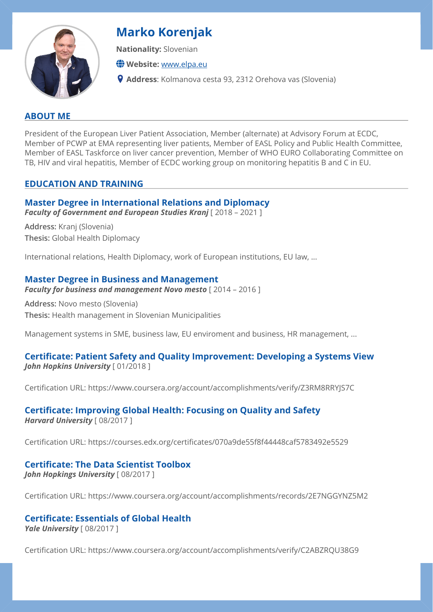

# **Marko Korenjak**

**Nationality:** Slovenian

**Website:** [www.elpa.eu](http://www.elpa.eu)

**Address**: Kolmanova cesta 93, 2312 Orehova vas (Slovenia)

## **ABOUT ME**

President of the European Liver Patient Association, Member (alternate) at Advisory Forum at ECDC, Member of PCWP at EMA representing liver patients, Member of EASL Policy and Public Health Committee, Member of EASL Taskforce on liver cancer prevention, Member of WHO EURO Collaborating Committee on TB, HIV and viral hepatitis, Member of ECDC working group on monitoring hepatitis B and C in EU.

## **EDUCATION AND TRAINING**

## **Master Degree in International Relations and Diplomacy**

*Faculty of Government and European Studies Kranj* [ 2018 – 2021 ]

**Address:** Kranj (Slovenia) **Thesis:** Global Health Diplomacy

International relations, Health Diplomacy, work of European institutions, EU law, ...

## **Master Degree in Business and Management**

*Faculty for business and management Novo mesto* [ 2014 – 2016 ]

**Address:** Novo mesto (Slovenia) **Thesis:** Health management in Slovenian Municipalities

Management systems in SME, business law, EU enviroment and business, HR management, ...

#### **Certificate: Patient Safety and Quality Improvement: Developing a Systems View**  *John Hopkins University* [ 01/2018 ]

Certification URL: https://www.coursera.org/account/accomplishments/verify/Z3RM8RRYJS7C

# **Certificate: Improving Global Health: Focusing on Quality and Safety**

*Harvard University* [ 08/2017 ]

Certification URL: https://courses.edx.org/certificates/070a9de55f8f44448caf5783492e5529

# **Certificate: The Data Scientist Toolbox**

*John Hopkings University* [ 08/2017 ]

Certification URL: https://www.coursera.org/account/accomplishments/records/2E7NGGYNZ5M2

# **Certificate: Essentials of Global Health**

*Yale University* [ 08/2017 ]

Certification URL: https://www.coursera.org/account/accomplishments/verify/C2ABZRQU38G9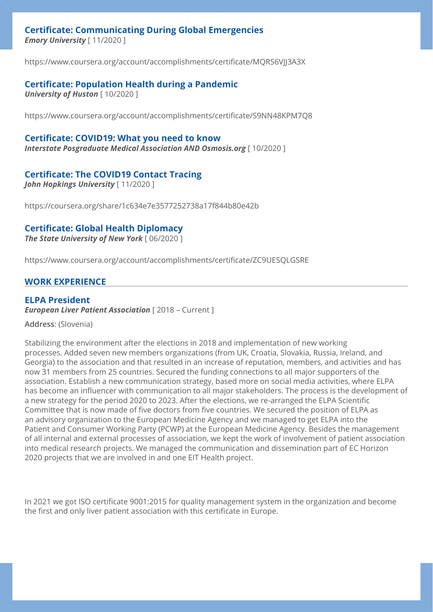## **Certificate: Communicating During Global Emergencies**

*Emory University* [ 11/2020 ]

https://www.coursera.org/account/accomplishments/certificate/MQRS6VJJ3A3X

## **Certificate: Population Health during a Pandemic**

*University of Huston* [ 10/2020 ]

https://www.coursera.org/account/accomplishments/certificate/S9NN48KPM7Q8

#### **Certificate: COVID19: What you need to know**

*Interstate Posgraduate Medical Association AND Osmosis.org* [ 10/2020 ]

## **Certificate: The COVID19 Contact Tracing**

*John Hopkings University* [ 11/2020 ]

https://coursera.org/share/1c634e7e3577252738a17f844b80e42b

#### **Certificate: Global Health Diplomacy**

*The State University of New York* [ 06/2020 ]

https://www.coursera.org/account/accomplishments/certificate/ZC9UESQLGSRE

## **WORK EXPERIENCE**

## **ELPA President**

*European Liver Patient Association* [ 2018 – Current ]

**Address**: (Slovenia)

Stabilizing the environment after the elections in 2018 and implementation of new working processes. Added seven new members organizations (from UK, Croatia, Slovakia, Russia, Ireland, and Georgia) to the association and that resulted in an increase of reputation, members, and activities and has now 31 members from 25 countries. Secured the funding connections to all major supporters of the association. Establish a new communication strategy, based more on social media activities, where ELPA has become an influencer with communication to all major stakeholders. The process is the development of a new strategy for the period 2020 to 2023. After the elections, we re-arranged the ELPA Scientific Committee that is now made of five doctors from five countries. We secured the position of ELPA as an advisory organization to the European Medicine Agency and we managed to get ELPA into the Patient and Consumer Working Party (PCWP) at the European Medicine Agency. Besides the management of all internal and external processes of association, we kept the work of involvement of patient association into medical research projects. We managed the communication and dissemination part of EC Horizon 2020 projects that we are involved in and one EIT Health project.

In 2021 we got ISO certificate 9001:2015 for quality management system in the organization and become the first and only liver patient association with this certificate in Europe.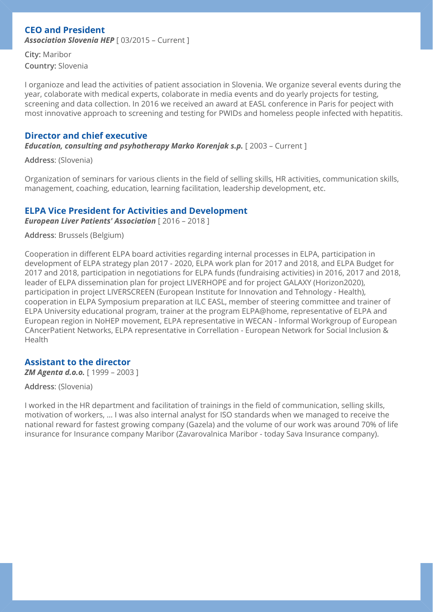## **CEO and President**

*Association Slovenia HEP* [ 03/2015 – Current ]

**City:** Maribor **Country:** Slovenia

I organioze and lead the activities of patient association in Slovenia. We organize several events during the year, colaborate with medical experts, colaborate in media events and do yearly projects for testing, screening and data collection. In 2016 we received an award at EASL conference in Paris for peoject with most innovative approach to screening and testing for PWIDs and homeless people infected with hepatitis.

## **Director and chief executive**

*Education, consulting and psyhotherapy Marko Koreniak s.p.* **[ 2003 – Current ]** 

**Address**: (Slovenia)

Organization of seminars for various clients in the field of selling skills, HR activities, communication skills, management, coaching, education, learning facilitation, leadership development, etc.

## **ELPA Vice President for Activities and Development**

*European Liver Patients' Association* [ 2016 – 2018 ]

**Address**: Brussels (Belgium)

Cooperation in different ELPA board activities regarding internal processes in ELPA, participation in development of ELPA strategy plan 2017 - 2020, ELPA work plan for 2017 and 2018, and ELPA Budget for 2017 and 2018, participation in negotiations for ELPA funds (fundraising activities) in 2016, 2017 and 2018, leader of ELPA dissemination plan for project LIVERHOPE and for project GALAXY (Horizon2020), participation in project LIVERSCREEN (European Institute for Innovation and Tehnology - Health), cooperation in ELPA Symposium preparation at ILC EASL, member of steering committee and trainer of ELPA University educational program, trainer at the program ELPA@home, representative of ELPA and European region in NoHEP movement, ELPA representative in WECAN - Informal Workgroup of European CAncerPatient Networks, ELPA representative in Correllation - European Network for Social Inclusion & Health

## **Assistant to the director**

*ZM Agenta d.o.o.* [ 1999 – 2003 ]

#### **Address**: (Slovenia)

I worked in the HR department and facilitation of trainings in the field of communication, selling skills, motivation of workers, … I was also internal analyst for ISO standards when we managed to receive the national reward for fastest growing company (Gazela) and the volume of our work was around 70% of life insurance for Insurance company Maribor (Zavarovalnica Maribor - today Sava Insurance company).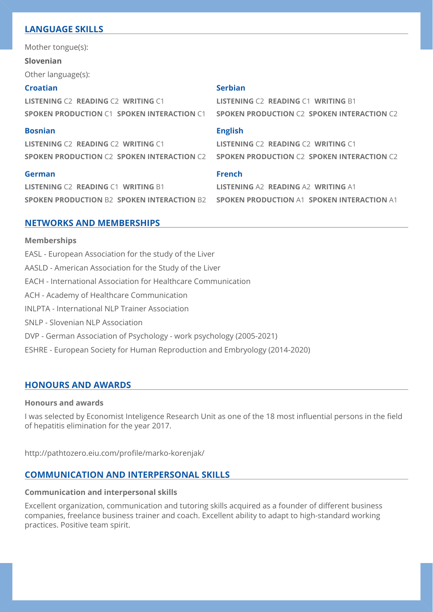## **LANGUAGE SKILLS**

Mother tongue(s):

**Slovenian**

Other language(s):

#### **Croatian**

**LISTENING** C2 **READING** C2 **WRITING** C1 **SPOKEN PRODUCTION** C1 **SPOKEN INTERACTION** C1

#### **Bosnian**

**LISTENING** C2 **READING** C2 **WRITING** C1 **SPOKEN PRODUCTION** C2 **SPOKEN INTERACTION** C2

#### **German**

**LISTENING** C2 **READING** C1 **WRITING** B1 **SPOKEN PRODUCTION** B2 **SPOKEN INTERACTION** B2

#### **Serbian**

**LISTENING** C2 **READING** C1 **WRITING** B1 **SPOKEN PRODUCTION** C2 **SPOKEN INTERACTION** C2

#### **English**

**LISTENING** C2 **READING** C2 **WRITING** C1 **SPOKEN PRODUCTION** C2 **SPOKEN INTERACTION** C2

#### **French**

**LISTENING** A2 **READING** A2 **WRITING** A1 **SPOKEN PRODUCTION** A1 **SPOKEN INTERACTION** A1

## **NETWORKS AND MEMBERSHIPS**

**Memberships**  EASL - European Association for the study of the Liver AASLD - American Association for the Study of the Liver EACH - International Association for Healthcare Communication ACH - Academy of Healthcare Communication INLPTA - International NLP Trainer Association SNLP - Slovenian NLP Association DVP - German Association of Psychology - work psychology (2005-2021) ESHRE - European Society for Human Reproduction and Embryology (2014-2020)

## **HONOURS AND AWARDS**

#### **Honours and awards**

I was selected by Economist Inteligence Research Unit as one of the 18 most influential persons in the field of hepatitis elimination for the year 2017.

http://pathtozero.eiu.com/profile/marko-korenjak/

## **COMMUNICATION AND INTERPERSONAL SKILLS**

## **Communication and interpersonal skills**

Excellent organization, communication and tutoring skills acquired as a founder of different business companies, freelance business trainer and coach. Excellent ability to adapt to high-standard working practices. Positive team spirit.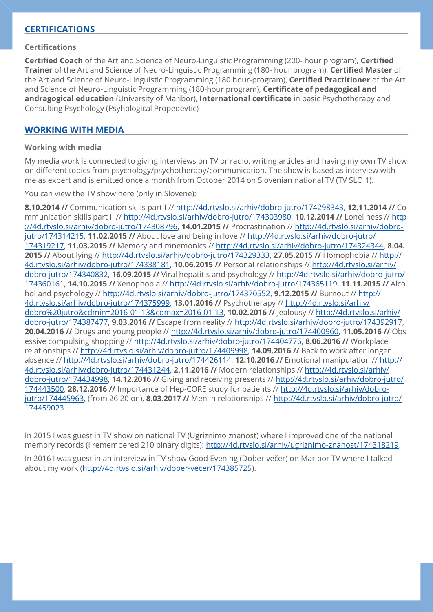## **CERTIFICATIONS**

#### **Certifications**

**Certified Coach** of the Art and Science of Neuro-Linguistic Programming (200- hour program), **Certified Trainer** of the Art and Science of Neuro-Linguistic Programming (180- hour program), **Certified Master** of the Art and Science of Neuro-Linguistic Programming (180 hour-program), **Certified Practitioner** of the Art and Science of Neuro-Linguistic Programming (180-hour program), **Certificate of pedagogical and andragogical education** (University of Maribor), **International certificate** in basic Psychotherapy and Consulting Psychology (Psyhological Propedevtic)

## **WORKING WITH MEDIA**

#### **Working with media**

My media work is connected to giving interviews on TV or radio, writing articles and having my own TV show on different topics from psychology/psychotherapy/communication. The show is based as interview with me as expert and is emitted once a month from October 2014 on Slovenian national TV (TV SLO 1).

You can view the TV show here (only in Slovene):

**8.10.2014 //** Communication skills part I // <http://4d.rtvslo.si/arhiv/dobro-jutro/174298343>, **12.11.2014 //** Co mmunication skills part II // <http://4d.rtvslo.si/arhiv/dobro-jutro/174303980>, **10.12.2014 //** Loneliness // [http](http://4d.rtvslo.si/arhiv/dobro-jutro/174308796) [://4d.rtvslo.si/arhiv/dobro-jutro/174308796](http://4d.rtvslo.si/arhiv/dobro-jutro/174308796), **14.01.2015 //** Procrastination // [http://4d.rtvslo.si/arhiv/dobro](http://4d.rtvslo.si/arhiv/dobro-jutro/174314215)[jutro/174314215](http://4d.rtvslo.si/arhiv/dobro-jutro/174314215), **11.02.2015 //** About love and being in love // [http://4d.rtvslo.si/arhiv/dobro-jutro/](http://4d.rtvslo.si/arhiv/dobro-jutro/174319217) [174319217](http://4d.rtvslo.si/arhiv/dobro-jutro/174319217), **11.03.2015 //** Memory and mnemonics // <http://4d.rtvslo.si/arhiv/dobro-jutro/174324344>, **8.04. 2015 //** About lying //<http://4d.rtvslo.si/arhiv/dobro-jutro/174329333>, **27.05.2015 //** Homophobia // [http://](http://4d.rtvslo.si/arhiv/dobro-jutro/174338181) [4d.rtvslo.si/arhiv/dobro-jutro/174338181,](http://4d.rtvslo.si/arhiv/dobro-jutro/174338181) **10.06.2015 //** Personal relationships // [http://4d.rtvslo.si/arhiv/](http://4d.rtvslo.si/arhiv/dobro-jutro/174340832) [dobro-jutro/174340832,](http://4d.rtvslo.si/arhiv/dobro-jutro/174340832) **16.09.2015 //** Viral hepatitis and psychology // [http://4d.rtvslo.si/arhiv/dobro-jutro/](http://4d.rtvslo.si/arhiv/dobro-jutro/174360161) [174360161](http://4d.rtvslo.si/arhiv/dobro-jutro/174360161), **14.10.2015 //** Xenophobia //<http://4d.rtvslo.si/arhiv/dobro-jutro/174365119>, **11.11.2015 //** Alco hol and psychology //<http://4d.rtvslo.si/arhiv/dobro-jutro/174370552>, **9.12.2015 //** Burnout // [http://](http://4d.rtvslo.si/arhiv/dobro-jutro/174375999) [4d.rtvslo.si/arhiv/dobro-jutro/174375999,](http://4d.rtvslo.si/arhiv/dobro-jutro/174375999) **13.01.2016 //** Psychotherapy // [http://4d.rtvslo.si/arhiv/](http://4d.rtvslo.si/arhiv/dobro%20jutro&cdmin=2016-01-13&cdmax=2016-01-13) [dobro%20jutro&cdmin=2016-01-13&cdmax=2016-01-13,](http://4d.rtvslo.si/arhiv/dobro%20jutro&cdmin=2016-01-13&cdmax=2016-01-13) **10.02.2016 //** Jealousy // [http://4d.rtvslo.si/arhiv/](http://4d.rtvslo.si/arhiv/dobro-jutro/174387477) [dobro-jutro/174387477,](http://4d.rtvslo.si/arhiv/dobro-jutro/174387477) **9.03.2016 //** Escape from reality // <http://4d.rtvslo.si/arhiv/dobro-jutro/174392917>, **20.04.2016 //** Drugs and young people // <http://4d.rtvslo.si/arhiv/dobro-jutro/174400960>, **11.05.2016 //** Obs essive compulsing shopping //<http://4d.rtvslo.si/arhiv/dobro-jutro/174404776>, **8.06.2016 //** Workplace relationships // <http://4d.rtvslo.si/arhiv/dobro-jutro/174409998>, **14.09.2016 //** Back to work after longer absence // <http://4d.rtvslo.si/arhiv/dobro-jutro/174426114>, **12.10.2016 //** Emotional manipulation // [http://](http://4d.rtvslo.si/arhiv/dobro-jutro/174431244) [4d.rtvslo.si/arhiv/dobro-jutro/174431244,](http://4d.rtvslo.si/arhiv/dobro-jutro/174431244) **2.11.2016 //** Modern relationships // [http://4d.rtvslo.si/arhiv/](http://4d.rtvslo.si/arhiv/dobro-jutro/174434998) [dobro-jutro/174434998,](http://4d.rtvslo.si/arhiv/dobro-jutro/174434998) **14.12.2016 //** Giving and receiving presents // [http://4d.rtvslo.si/arhiv/dobro-jutro/](http://4d.rtvslo.si/arhiv/dobro-jutro/174443500) [174443500](http://4d.rtvslo.si/arhiv/dobro-jutro/174443500), **28.12.2016 //** Importance of Hep-CORE study for patients // [http://4d.rtvslo.si/arhiv/dobro](http://4d.rtvslo.si/arhiv/dobro-jutro/174445963)[jutro/174445963](http://4d.rtvslo.si/arhiv/dobro-jutro/174445963), (from 26:20 on), **8.03.2017 //** Men in relationships // [http://4d.rtvslo.si/arhiv/dobro-jutro/](http://4d.rtvslo.si/arhiv/dobro-jutro/174459023) [174459023](http://4d.rtvslo.si/arhiv/dobro-jutro/174459023)

In 2015 I was guest in TV show on national TV (Ugriznimo znanost) where I improved one of the national memory records (I remembered 210 binary digits):<http://4d.rtvslo.si/arhiv/ugriznimo-znanost/174318219>.

In 2016 I was guest in an interview in TV show Good Evening (Dober večer) on Maribor TV where I talked about my work [\(http://4d.rtvslo.si/arhiv/dober-vecer/174385725](http://4d.rtvslo.si/arhiv/dober-vecer/174385725)).